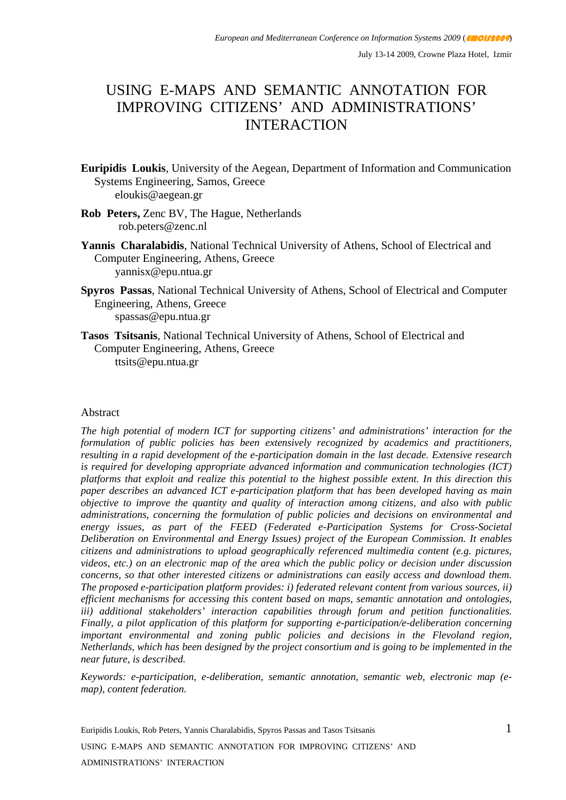# USING E-MAPS AND SEMANTIC ANNOTATION FOR IMPROVING CITIZENS' AND ADMINISTRATIONS' INTERACTION

- **Euripidis Loukis**, University of the Aegean, Department of Information and Communication Systems Engineering, Samos, Greece eloukis@aegean.gr
- **Rob Peters,** Zenc BV, The Hague, Netherlands rob.peters@zenc.nl
- **Yannis Charalabidis**, National Technical University of Athens, School of Electrical and Computer Engineering, Athens, Greece yannisx@epu.ntua.gr
- **Spyros Passas**, National Technical University of Athens, School of Electrical and Computer Engineering, Athens, Greece spassas@epu.ntua.gr
- **Tasos Tsitsanis**, National Technical University of Athens, School of Electrical and Computer Engineering, Athens, Greece ttsits@epu.ntua.gr

#### Abstract

*The high potential of modern ICT for supporting citizens' and administrations' interaction for the formulation of public policies has been extensively recognized by academics and practitioners, resulting in a rapid development of the e-participation domain in the last decade. Extensive research is required for developing appropriate advanced information and communication technologies (ICT) platforms that exploit and realize this potential to the highest possible extent. In this direction this paper describes an advanced ICT e-participation platform that has been developed having as main objective to improve the quantity and quality of interaction among citizens, and also with public administrations, concerning the formulation of public policies and decisions on environmental and energy issues, as part of the FEED (Federated e-Participation Systems for Cross-Societal Deliberation on Environmental and Energy Issues) project of the European Commission. It enables citizens and administrations to upload geographically referenced multimedia content (e.g. pictures, videos, etc.) on an electronic map of the area which the public policy or decision under discussion concerns, so that other interested citizens or administrations can easily access and download them. The proposed e-participation platform provides: i) federated relevant content from various sources, ii) efficient mechanisms for accessing this content based on maps, semantic annotation and ontologies, iii) additional stakeholders' interaction capabilities through forum and petition functionalities. Finally, a pilot application of this platform for supporting e-participation/e-deliberation concerning important environmental and zoning public policies and decisions in the Flevoland region, Netherlands, which has been designed by the project consortium and is going to be implemented in the near future, is described.* 

*Keywords: e-participation, e-deliberation, semantic annotation, semantic web, electronic map (emap), content federation.*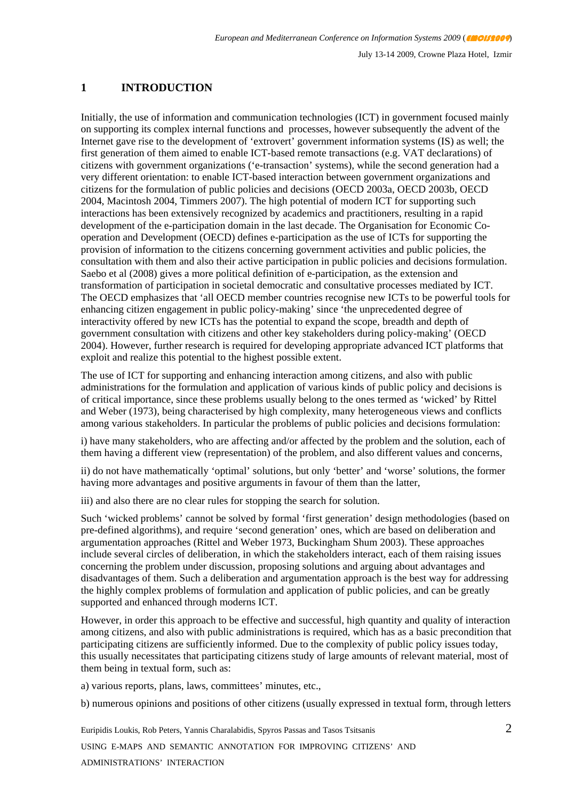### **1 INTRODUCTION**

Initially, the use of information and communication technologies (ICT) in government focused mainly on supporting its complex internal functions and processes, however subsequently the advent of the Internet gave rise to the development of 'extrovert' government information systems (IS) as well; the first generation of them aimed to enable ICT-based remote transactions (e.g. VAT declarations) of citizens with government organizations ('e-transaction' systems), while the second generation had a very different orientation: to enable ICT-based interaction between government organizations and citizens for the formulation of public policies and decisions (OECD 2003a, OECD 2003b, OECD 2004, Macintosh 2004, Timmers 2007). The high potential of modern ICT for supporting such interactions has been extensively recognized by academics and practitioners, resulting in a rapid development of the e-participation domain in the last decade. The Organisation for Economic Cooperation and Development (OECD) defines e-participation as the use of ICTs for supporting the provision of information to the citizens concerning government activities and public policies, the consultation with them and also their active participation in public policies and decisions formulation. Saebo et al (2008) gives a more political definition of e-participation, as the extension and transformation of participation in societal democratic and consultative processes mediated by ICT. The OECD emphasizes that 'all OECD member countries recognise new ICTs to be powerful tools for enhancing citizen engagement in public policy-making' since 'the unprecedented degree of interactivity offered by new ICTs has the potential to expand the scope, breadth and depth of government consultation with citizens and other key stakeholders during policy-making' (OECD 2004). However, further research is required for developing appropriate advanced ICT platforms that exploit and realize this potential to the highest possible extent.

The use of ICT for supporting and enhancing interaction among citizens, and also with public administrations for the formulation and application of various kinds of public policy and decisions is of critical importance, since these problems usually belong to the ones termed as 'wicked' by Rittel and Weber (1973), being characterised by high complexity, many heterogeneous views and conflicts among various stakeholders. In particular the problems of public policies and decisions formulation:

i) have many stakeholders, who are affecting and/or affected by the problem and the solution, each of them having a different view (representation) of the problem, and also different values and concerns,

ii) do not have mathematically 'optimal' solutions, but only 'better' and 'worse' solutions, the former having more advantages and positive arguments in favour of them than the latter,

iii) and also there are no clear rules for stopping the search for solution.

Such 'wicked problems' cannot be solved by formal 'first generation' design methodologies (based on pre-defined algorithms), and require 'second generation' ones, which are based on deliberation and argumentation approaches (Rittel and Weber 1973, Buckingham Shum 2003). These approaches include several circles of deliberation, in which the stakeholders interact, each of them raising issues concerning the problem under discussion, proposing solutions and arguing about advantages and disadvantages of them. Such a deliberation and argumentation approach is the best way for addressing the highly complex problems of formulation and application of public policies, and can be greatly supported and enhanced through moderns ICT.

However, in order this approach to be effective and successful, high quantity and quality of interaction among citizens, and also with public administrations is required, which has as a basic precondition that participating citizens are sufficiently informed. Due to the complexity of public policy issues today, this usually necessitates that participating citizens study of large amounts of relevant material, most of them being in textual form, such as:

a) various reports, plans, laws, committees' minutes, etc.,

b) numerous opinions and positions of other citizens (usually expressed in textual form, through letters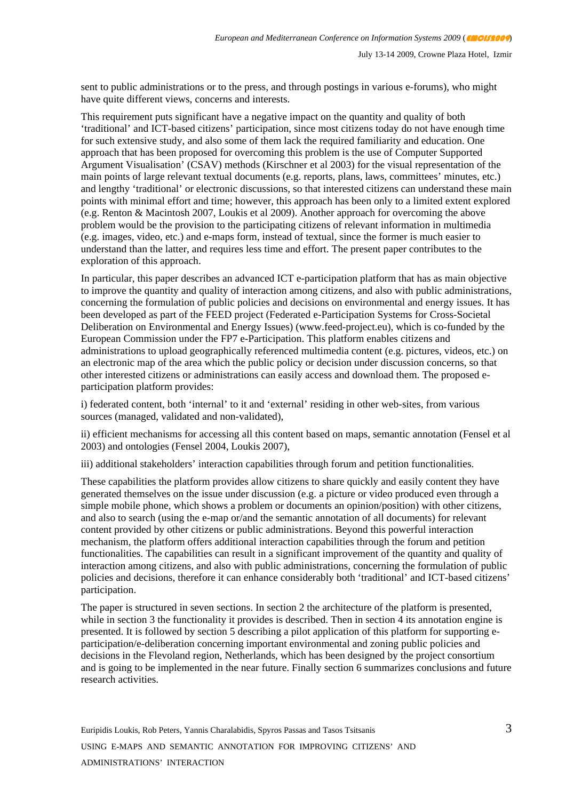sent to public administrations or to the press, and through postings in various e-forums), who might have quite different views, concerns and interests.

This requirement puts significant have a negative impact on the quantity and quality of both 'traditional' and ICT-based citizens' participation, since most citizens today do not have enough time for such extensive study, and also some of them lack the required familiarity and education. One approach that has been proposed for overcoming this problem is the use of Computer Supported Argument Visualisation' (CSAV) methods (Kirschner et al 2003) for the visual representation of the main points of large relevant textual documents (e.g. reports, plans, laws, committees' minutes, etc.) and lengthy 'traditional' or electronic discussions, so that interested citizens can understand these main points with minimal effort and time; however, this approach has been only to a limited extent explored (e.g. Renton & Macintosh 2007, Loukis et al 2009). Another approach for overcoming the above problem would be the provision to the participating citizens of relevant information in multimedia (e.g. images, video, etc.) and e-maps form, instead of textual, since the former is much easier to understand than the latter, and requires less time and effort. The present paper contributes to the exploration of this approach.

In particular, this paper describes an advanced ICT e-participation platform that has as main objective to improve the quantity and quality of interaction among citizens, and also with public administrations, concerning the formulation of public policies and decisions on environmental and energy issues. It has been developed as part of the FEED project (Federated e-Participation Systems for Cross-Societal Deliberation on Environmental and Energy Issues) (www.feed-project.eu), which is co-funded by the European Commission under the FP7 e-Participation. This platform enables citizens and administrations to upload geographically referenced multimedia content (e.g. pictures, videos, etc.) on an electronic map of the area which the public policy or decision under discussion concerns, so that other interested citizens or administrations can easily access and download them. The proposed eparticipation platform provides:

i) federated content, both 'internal' to it and 'external' residing in other web-sites, from various sources (managed, validated and non-validated),

ii) efficient mechanisms for accessing all this content based on maps, semantic annotation (Fensel et al 2003) and ontologies (Fensel 2004, Loukis 2007),

iii) additional stakeholders' interaction capabilities through forum and petition functionalities.

These capabilities the platform provides allow citizens to share quickly and easily content they have generated themselves on the issue under discussion (e.g. a picture or video produced even through a simple mobile phone, which shows a problem or documents an opinion/position) with other citizens, and also to search (using the e-map or/and the semantic annotation of all documents) for relevant content provided by other citizens or public administrations. Beyond this powerful interaction mechanism, the platform offers additional interaction capabilities through the forum and petition functionalities. The capabilities can result in a significant improvement of the quantity and quality of interaction among citizens, and also with public administrations, concerning the formulation of public policies and decisions, therefore it can enhance considerably both 'traditional' and ICT-based citizens' participation.

The paper is structured in seven sections. In section 2 the architecture of the platform is presented, while in section 3 the functionality it provides is described. Then in section  $\overline{4}$  its annotation engine is presented. It is followed by section 5 describing a pilot application of this platform for supporting eparticipation/e-deliberation concerning important environmental and zoning public policies and decisions in the Flevoland region, Netherlands, which has been designed by the project consortium and is going to be implemented in the near future. Finally section 6 summarizes conclusions and future research activities.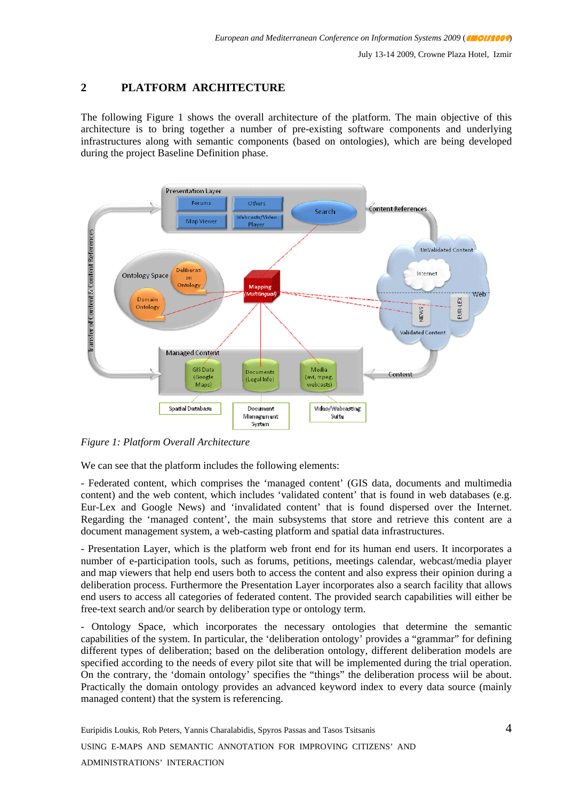#### **2 PLATFORM ARCHITECTURE**

The following Figure 1 shows the overall architecture of the platform. The main objective of this architecture is to bring together a number of pre-existing software components and underlying infrastructures along with semantic components (based on ontologies), which are being developed during the project Baseline Definition phase.



*Figure 1: Platform Overall Architecture* 

We can see that the platform includes the following elements:

- Federated content, which comprises the 'managed content' (GIS data, documents and multimedia content) and the web content, which includes 'validated content' that is found in web databases (e.g. Eur-Lex and Google News) and 'invalidated content' that is found dispersed over the Internet. Regarding the 'managed content', the main subsystems that store and retrieve this content are a document management system, a web-casting platform and spatial data infrastructures.

- Presentation Layer, which is the platform web front end for its human end users. It incorporates a number of e-participation tools, such as forums, petitions, meetings calendar, webcast/media player and map viewers that help end users both to access the content and also express their opinion during a deliberation process. Furthermore the Presentation Layer incorporates also a search facility that allows end users to access all categories of federated content. The provided search capabilities will either be free-text search and/or search by deliberation type or ontology term.

- Ontology Space, which incorporates the necessary ontologies that determine the semantic capabilities of the system. In particular, the 'deliberation ontology' provides a "grammar" for defining different types of deliberation; based on the deliberation ontology, different deliberation models are specified according to the needs of every pilot site that will be implemented during the trial operation. On the contrary, the 'domain ontology' specifies the "things" the deliberation process wiil be about. Practically the domain ontology provides an advanced keyword index to every data source (mainly managed content) that the system is referencing.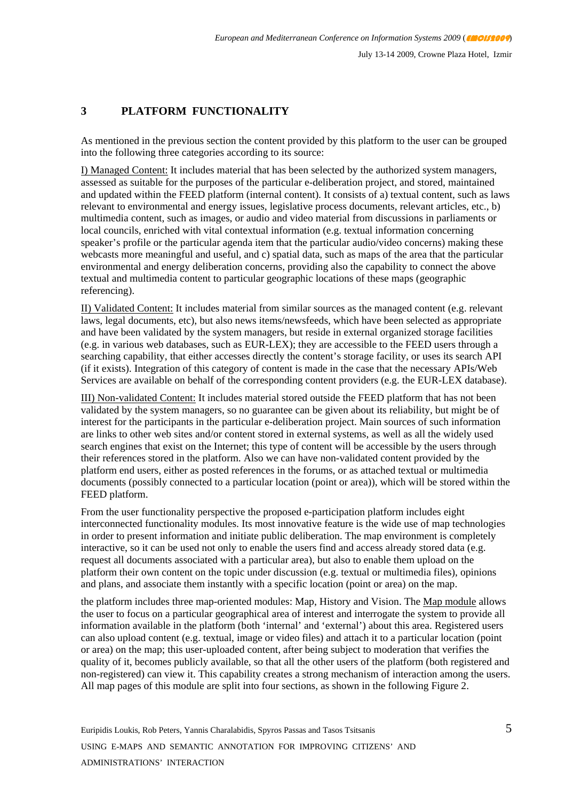#### **3 PLATFORM FUNCTIONALITY**

As mentioned in the previous section the content provided by this platform to the user can be grouped into the following three categories according to its source:

I) Managed Content: It includes material that has been selected by the authorized system managers, assessed as suitable for the purposes of the particular e-deliberation project, and stored, maintained and updated within the FEED platform (internal content). It consists of a) textual content, such as laws relevant to environmental and energy issues, legislative process documents, relevant articles, etc., b) multimedia content, such as images, or audio and video material from discussions in parliaments or local councils, enriched with vital contextual information (e.g. textual information concerning speaker's profile or the particular agenda item that the particular audio/video concerns) making these webcasts more meaningful and useful, and c) spatial data, such as maps of the area that the particular environmental and energy deliberation concerns, providing also the capability to connect the above textual and multimedia content to particular geographic locations of these maps (geographic referencing).

II) Validated Content: It includes material from similar sources as the managed content (e.g. relevant laws, legal documents, etc), but also news items/newsfeeds, which have been selected as appropriate and have been validated by the system managers, but reside in external organized storage facilities (e.g. in various web databases, such as EUR-LEX); they are accessible to the FEED users through a searching capability, that either accesses directly the content's storage facility, or uses its search API (if it exists). Integration of this category of content is made in the case that the necessary APIs/Web Services are available on behalf of the corresponding content providers (e.g. the EUR-LEX database).

III) Non-validated Content: It includes material stored outside the FEED platform that has not been validated by the system managers, so no guarantee can be given about its reliability, but might be of interest for the participants in the particular e-deliberation project. Main sources of such information are links to other web sites and/or content stored in external systems, as well as all the widely used search engines that exist on the Internet; this type of content will be accessible by the users through their references stored in the platform. Also we can have non-validated content provided by the platform end users, either as posted references in the forums, or as attached textual or multimedia documents (possibly connected to a particular location (point or area)), which will be stored within the FEED platform.

From the user functionality perspective the proposed e-participation platform includes eight interconnected functionality modules. Its most innovative feature is the wide use of map technologies in order to present information and initiate public deliberation. The map environment is completely interactive, so it can be used not only to enable the users find and access already stored data (e.g. request all documents associated with a particular area), but also to enable them upload on the platform their own content on the topic under discussion (e.g. textual or multimedia files), opinions and plans, and associate them instantly with a specific location (point or area) on the map.

the platform includes three map-oriented modules: Map, History and Vision. The Map module allows the user to focus on a particular geographical area of interest and interrogate the system to provide all information available in the platform (both 'internal' and 'external') about this area. Registered users can also upload content (e.g. textual, image or video files) and attach it to a particular location (point or area) on the map; this user-uploaded content, after being subject to moderation that verifies the quality of it, becomes publicly available, so that all the other users of the platform (both registered and non-registered) can view it. This capability creates a strong mechanism of interaction among the users. All map pages of this module are split into four sections, as shown in the following Figure 2.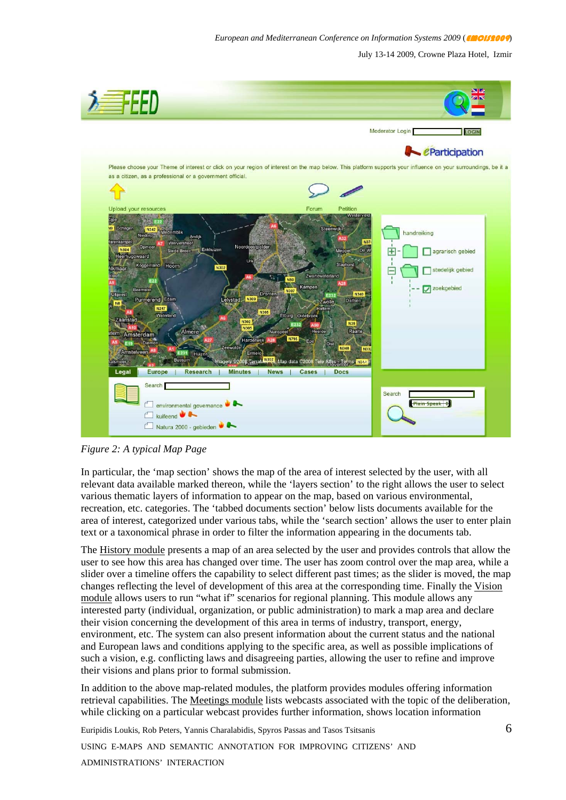July 13-14 2009, Crowne Plaza Hotel, Izmir



*Figure 2: A typical Map Page* 

In particular, the 'map section' shows the map of the area of interest selected by the user, with all relevant data available marked thereon, while the 'layers section' to the right allows the user to select various thematic layers of information to appear on the map, based on various environmental, recreation, etc. categories. The 'tabbed documents section' below lists documents available for the area of interest, categorized under various tabs, while the 'search section' allows the user to enter plain text or a taxonomical phrase in order to filter the information appearing in the documents tab.

The History module presents a map of an area selected by the user and provides controls that allow the user to see how this area has changed over time. The user has zoom control over the map area, while a slider over a timeline offers the capability to select different past times; as the slider is moved, the map changes reflecting the level of development of this area at the corresponding time. Finally the Vision module allows users to run "what if" scenarios for regional planning. This module allows any interested party (individual, organization, or public administration) to mark a map area and declare their vision concerning the development of this area in terms of industry, transport, energy, environment, etc. The system can also present information about the current status and the national and European laws and conditions applying to the specific area, as well as possible implications of such a vision, e.g. conflicting laws and disagreeing parties, allowing the user to refine and improve their visions and plans prior to formal submission.

In addition to the above map-related modules, the platform provides modules offering information retrieval capabilities. The Meetings module lists webcasts associated with the topic of the deliberation, while clicking on a particular webcast provides further information, shows location information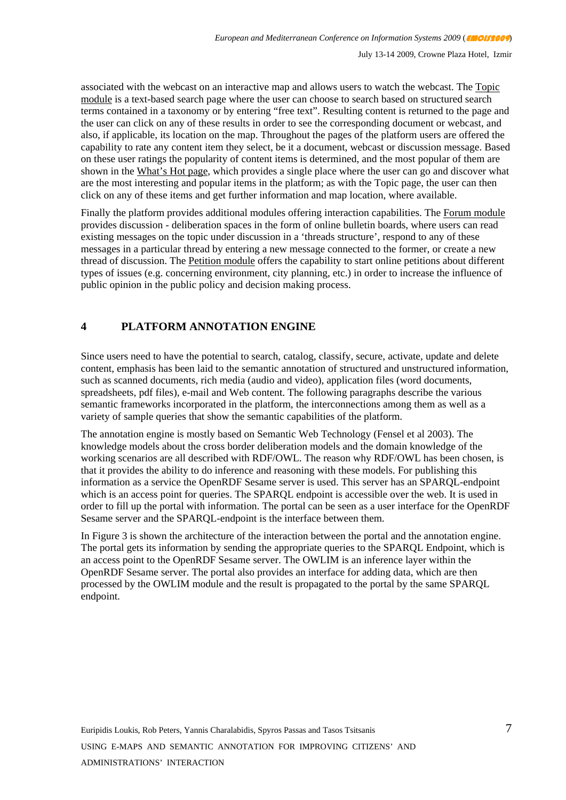associated with the webcast on an interactive map and allows users to watch the webcast. The Topic module is a text-based search page where the user can choose to search based on structured search terms contained in a taxonomy or by entering "free text". Resulting content is returned to the page and the user can click on any of these results in order to see the corresponding document or webcast, and also, if applicable, its location on the map. Throughout the pages of the platform users are offered the capability to rate any content item they select, be it a document, webcast or discussion message. Based on these user ratings the popularity of content items is determined, and the most popular of them are shown in the What's Hot page, which provides a single place where the user can go and discover what are the most interesting and popular items in the platform; as with the Topic page, the user can then click on any of these items and get further information and map location, where available.

Finally the platform provides additional modules offering interaction capabilities. The Forum module provides discussion - deliberation spaces in the form of online bulletin boards, where users can read existing messages on the topic under discussion in a 'threads structure', respond to any of these messages in a particular thread by entering a new message connected to the former, or create a new thread of discussion. The Petition module offers the capability to start online petitions about different types of issues (e.g. concerning environment, city planning, etc.) in order to increase the influence of public opinion in the public policy and decision making process.

#### **4 PLATFORM ANNOTATION ENGINE**

Since users need to have the potential to search, catalog, classify, secure, activate, update and delete content, emphasis has been laid to the semantic annotation of structured and unstructured information, such as scanned documents, rich media (audio and video), application files (word documents, spreadsheets, pdf files), e-mail and Web content. The following paragraphs describe the various semantic frameworks incorporated in the platform, the interconnections among them as well as a variety of sample queries that show the semantic capabilities of the platform.

The annotation engine is mostly based on Semantic Web Technology (Fensel et al 2003). The knowledge models about the cross border deliberation models and the domain knowledge of the working scenarios are all described with RDF/OWL. The reason why RDF/OWL has been chosen, is that it provides the ability to do inference and reasoning with these models. For publishing this information as a service the OpenRDF Sesame server is used. This server has an SPARQL-endpoint which is an access point for queries. The SPARQL endpoint is accessible over the web. It is used in order to fill up the portal with information. The portal can be seen as a user interface for the OpenRDF Sesame server and the SPARQL-endpoint is the interface between them.

In Figure 3 is shown the architecture of the interaction between the portal and the annotation engine. The portal gets its information by sending the appropriate queries to the SPARQL Endpoint, which is an access point to the OpenRDF Sesame server. The OWLIM is an inference layer within the OpenRDF Sesame server. The portal also provides an interface for adding data, which are then processed by the OWLIM module and the result is propagated to the portal by the same SPARQL endpoint.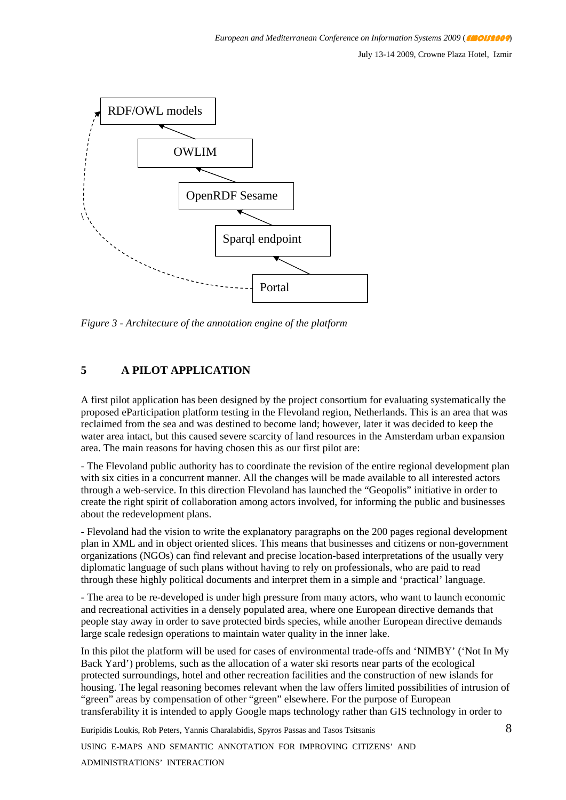

*Figure 3 - Architecture of the annotation engine of the platform* 

#### **5 A PILOT APPLICATION**

A first pilot application has been designed by the project consortium for evaluating systematically the proposed eParticipation platform testing in the Flevoland region, Netherlands. This is an area that was reclaimed from the sea and was destined to become land; however, later it was decided to keep the water area intact, but this caused severe scarcity of land resources in the Amsterdam urban expansion area. The main reasons for having chosen this as our first pilot are:

- The Flevoland public authority has to coordinate the revision of the entire regional development plan with six cities in a concurrent manner. All the changes will be made available to all interested actors through a web-service. In this direction Flevoland has launched the "Geopolis" initiative in order to create the right spirit of collaboration among actors involved, for informing the public and businesses about the redevelopment plans.

- Flevoland had the vision to write the explanatory paragraphs on the 200 pages regional development plan in XML and in object oriented slices. This means that businesses and citizens or non-government organizations (NGOs) can find relevant and precise location-based interpretations of the usually very diplomatic language of such plans without having to rely on professionals, who are paid to read through these highly political documents and interpret them in a simple and 'practical' language.

- The area to be re-developed is under high pressure from many actors, who want to launch economic and recreational activities in a densely populated area, where one European directive demands that people stay away in order to save protected birds species, while another European directive demands large scale redesign operations to maintain water quality in the inner lake.

In this pilot the platform will be used for cases of environmental trade-offs and 'NIMBY' ('Not In My Back Yard') problems, such as the allocation of a water ski resorts near parts of the ecological protected surroundings, hotel and other recreation facilities and the construction of new islands for housing. The legal reasoning becomes relevant when the law offers limited possibilities of intrusion of "green" areas by compensation of other "green" elsewhere. For the purpose of European transferability it is intended to apply Google maps technology rather than GIS technology in order to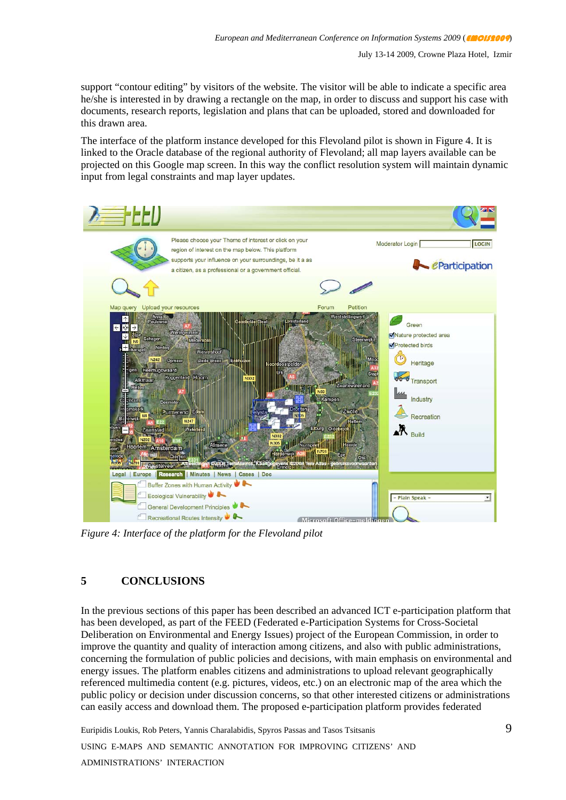support "contour editing" by visitors of the website. The visitor will be able to indicate a specific area he/she is interested in by drawing a rectangle on the map, in order to discuss and support his case with documents, research reports, legislation and plans that can be uploaded, stored and downloaded for this drawn area.

The interface of the platform instance developed for this Flevoland pilot is shown in Figure 4. It is linked to the Oracle database of the regional authority of Flevoland; all map layers available can be projected on this Google map screen. In this way the conflict resolution system will maintain dynamic input from legal constraints and map layer updates.



*Figure 4: Interface of the platform for the Flevoland pilot* 

## **5 CONCLUSIONS**

In the previous sections of this paper has been described an advanced ICT e-participation platform that has been developed, as part of the FEED (Federated e-Participation Systems for Cross-Societal Deliberation on Environmental and Energy Issues) project of the European Commission, in order to improve the quantity and quality of interaction among citizens, and also with public administrations, concerning the formulation of public policies and decisions, with main emphasis on environmental and energy issues. The platform enables citizens and administrations to upload relevant geographically referenced multimedia content (e.g. pictures, videos, etc.) on an electronic map of the area which the public policy or decision under discussion concerns, so that other interested citizens or administrations can easily access and download them. The proposed e-participation platform provides federated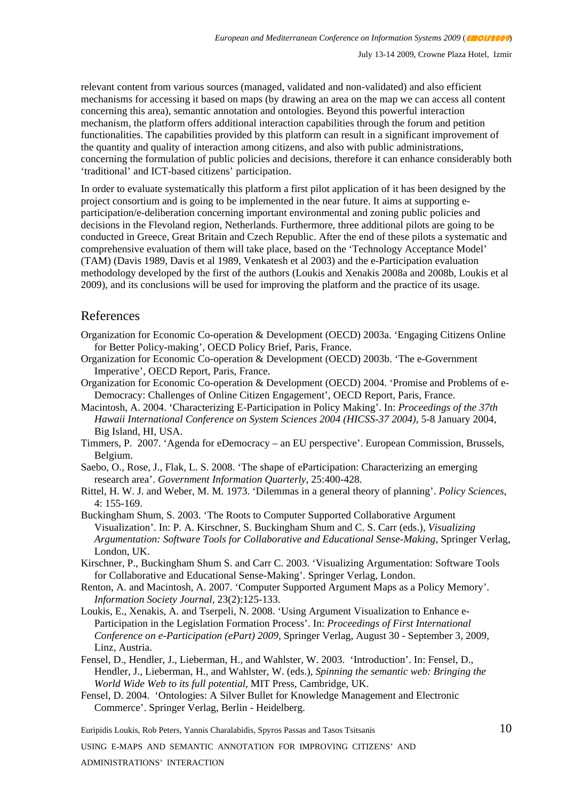relevant content from various sources (managed, validated and non-validated) and also efficient mechanisms for accessing it based on maps (by drawing an area on the map we can access all content concerning this area), semantic annotation and ontologies. Beyond this powerful interaction mechanism, the platform offers additional interaction capabilities through the forum and petition functionalities. The capabilities provided by this platform can result in a significant improvement of the quantity and quality of interaction among citizens, and also with public administrations, concerning the formulation of public policies and decisions, therefore it can enhance considerably both 'traditional' and ICT-based citizens' participation.

In order to evaluate systematically this platform a first pilot application of it has been designed by the project consortium and is going to be implemented in the near future. It aims at supporting eparticipation/e-deliberation concerning important environmental and zoning public policies and decisions in the Flevoland region, Netherlands. Furthermore, three additional pilots are going to be conducted in Greece, Great Britain and Czech Republic. After the end of these pilots a systematic and comprehensive evaluation of them will take place, based on the 'Technology Acceptance Model' (TAM) (Davis 1989, Davis et al 1989, Venkatesh et al 2003) and the e-Participation evaluation methodology developed by the first of the authors (Loukis and Xenakis 2008a and 2008b, Loukis et al 2009), and its conclusions will be used for improving the platform and the practice of its usage.

#### References

- Organization for Economic Co-operation & Development (OECD) 2003a. 'Engaging Citizens Online for Better Policy-making', OECD Policy Brief, Paris, France.
- Organization for Economic Co-operation & Development (OECD) 2003b. 'The e-Government Imperative', OECD Report, Paris, France.
- Organization for Economic Co-operation & Development (OECD) 2004. 'Promise and Problems of e-Democracy: Challenges of Online Citizen Engagement', OECD Report, Paris, France.
- Macintosh, A. 2004. 'Characterizing E-Participation in Policy Making'. In: *Proceedings of the 37th Hawaii International Conference on System Sciences 2004 (HICSS-37 2004)*, 5-8 January 2004, Big Island, HI, USA.
- Timmers, P. 2007. 'Agenda for eDemocracy an EU perspective'. European Commission, Brussels, Belgium.
- Saebo, O., Rose, J., Flak, L. S. 2008. 'The shape of eParticipation: Characterizing an emerging research area'. *Government Information Quarterly*, 25:400-428.
- Rittel, H. W. J. and Weber, M. M. 1973. 'Dilemmas in a general theory of planning'. *Policy Sciences*, 4: 155-169.
- Buckingham Shum, S. 2003. 'The Roots to Computer Supported Collaborative Argument Visualization'. In: P. A. Kirschner, S. Buckingham Shum and C. S. Carr (eds.), *Visualizing Argumentation: Software Tools for Collaborative and Educational Sense-Making*, Springer Verlag, London, UK.
- Kirschner, P., Buckingham Shum S. and Carr C. 2003. 'Visualizing Argumentation: Software Tools for Collaborative and Educational Sense-Making'. Springer Verlag, London.
- Renton, A. and Macintosh, A. 2007. 'Computer Supported Argument Maps as a Policy Memory'. *Information Society Journal*, 23(2):125-133.
- Loukis, E., Xenakis, A. and Tserpeli, N. 2008. 'Using Argument Visualization to Enhance e-Participation in the Legislation Formation Process'. In: *Proceedings of First International Conference on e-Participation (ePart) 2009*, Springer Verlag, August 30 - September 3, 2009, Linz, Austria.
- Fensel, D., Hendler, J., Lieberman, H., and Wahlster, W. 2003. 'Introduction'. In: Fensel, D., Hendler, J., Lieberman, H., and Wahlster, W. (eds.), *Spinning the semantic web: Bringing the World Wide Web to its full potential*, MIT Press, Cambridge, UK.
- Fensel, D. 2004. 'Ontologies: A Silver Bullet for Knowledge Management and Electronic Commerce'. Springer Verlag, Berlin - Heidelberg.

Euripidis Loukis, Rob Peters, Yannis Charalabidis, Spyros Passas and Tasos Tsitsanis

USING E-MAPS AND SEMANTIC ANNOTATION FOR IMPROVING CITIZENS' AND